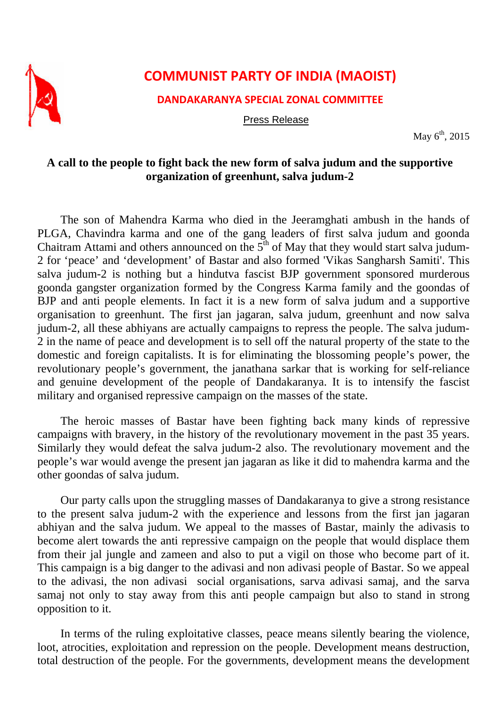

## **COMMUNIST PARTY OF INDIA (MAOIST)**

**DANDAKARANYA SPECIAL ZONAL COMMITTEE**

Press Release

May  $6<sup>th</sup>$ , 2015

## **A call to the people to fight back the new form of salva judum and the supportive organization of greenhunt, salva judum-2**

The son of Mahendra Karma who died in the Jeeramghati ambush in the hands of PLGA, Chavindra karma and one of the gang leaders of first salva judum and goonda Chaitram Attami and others announced on the  $5<sup>th</sup>$  of May that they would start salva judum-2 for 'peace' and 'development' of Bastar and also formed 'Vikas Sangharsh Samiti'. This salva judum-2 is nothing but a hindutva fascist BJP government sponsored murderous goonda gangster organization formed by the Congress Karma family and the goondas of BJP and anti people elements. In fact it is a new form of salva judum and a supportive organisation to greenhunt. The first jan jagaran, salva judum, greenhunt and now salva judum-2, all these abhiyans are actually campaigns to repress the people. The salva judum-2 in the name of peace and development is to sell off the natural property of the state to the domestic and foreign capitalists. It is for eliminating the blossoming people's power, the revolutionary people's government, the janathana sarkar that is working for self-reliance and genuine development of the people of Dandakaranya. It is to intensify the fascist military and organised repressive campaign on the masses of the state.

The heroic masses of Bastar have been fighting back many kinds of repressive campaigns with bravery, in the history of the revolutionary movement in the past 35 years. Similarly they would defeat the salva judum-2 also. The revolutionary movement and the people's war would avenge the present jan jagaran as like it did to mahendra karma and the other goondas of salva judum.

Our party calls upon the struggling masses of Dandakaranya to give a strong resistance to the present salva judum-2 with the experience and lessons from the first jan jagaran abhiyan and the salva judum. We appeal to the masses of Bastar, mainly the adivasis to become alert towards the anti repressive campaign on the people that would displace them from their jal jungle and zameen and also to put a vigil on those who become part of it. This campaign is a big danger to the adivasi and non adivasi people of Bastar. So we appeal to the adivasi, the non adivasi social organisations, sarva adivasi samaj, and the sarva samaj not only to stay away from this anti people campaign but also to stand in strong opposition to it.

In terms of the ruling exploitative classes, peace means silently bearing the violence, loot, atrocities, exploitation and repression on the people. Development means destruction, total destruction of the people. For the governments, development means the development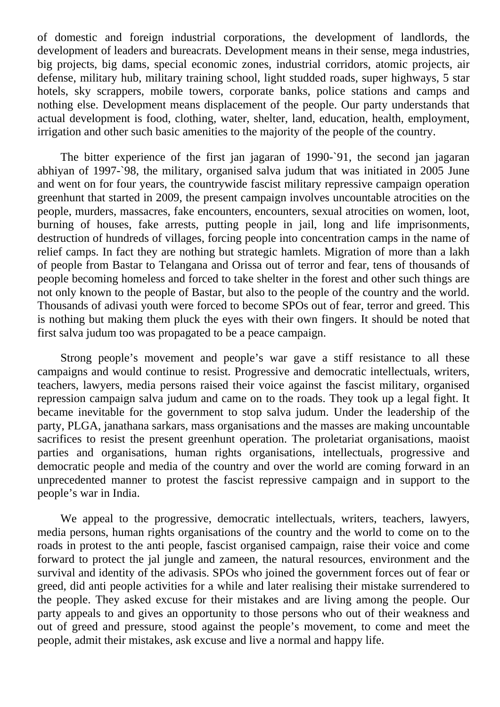of domestic and foreign industrial corporations, the development of landlords, the development of leaders and bureacrats. Development means in their sense, mega industries, big projects, big dams, special economic zones, industrial corridors, atomic projects, air defense, military hub, military training school, light studded roads, super highways, 5 star hotels, sky scrappers, mobile towers, corporate banks, police stations and camps and nothing else. Development means displacement of the people. Our party understands that actual development is food, clothing, water, shelter, land, education, health, employment, irrigation and other such basic amenities to the majority of the people of the country.

The bitter experience of the first jan jagaran of 1990-`91, the second jan jagaran abhiyan of 1997-`98, the military, organised salva judum that was initiated in 2005 June and went on for four years, the countrywide fascist military repressive campaign operation greenhunt that started in 2009, the present campaign involves uncountable atrocities on the people, murders, massacres, fake encounters, encounters, sexual atrocities on women, loot, burning of houses, fake arrests, putting people in jail, long and life imprisonments, destruction of hundreds of villages, forcing people into concentration camps in the name of relief camps. In fact they are nothing but strategic hamlets. Migration of more than a lakh of people from Bastar to Telangana and Orissa out of terror and fear, tens of thousands of people becoming homeless and forced to take shelter in the forest and other such things are not only known to the people of Bastar, but also to the people of the country and the world. Thousands of adivasi youth were forced to become SPOs out of fear, terror and greed. This is nothing but making them pluck the eyes with their own fingers. It should be noted that first salva judum too was propagated to be a peace campaign.

Strong people's movement and people's war gave a stiff resistance to all these campaigns and would continue to resist. Progressive and democratic intellectuals, writers, teachers, lawyers, media persons raised their voice against the fascist military, organised repression campaign salva judum and came on to the roads. They took up a legal fight. It became inevitable for the government to stop salva judum. Under the leadership of the party, PLGA, janathana sarkars, mass organisations and the masses are making uncountable sacrifices to resist the present greenhunt operation. The proletariat organisations, maoist parties and organisations, human rights organisations, intellectuals, progressive and democratic people and media of the country and over the world are coming forward in an unprecedented manner to protest the fascist repressive campaign and in support to the people's war in India.

We appeal to the progressive, democratic intellectuals, writers, teachers, lawyers, media persons, human rights organisations of the country and the world to come on to the roads in protest to the anti people, fascist organised campaign, raise their voice and come forward to protect the jal jungle and zameen, the natural resources, environment and the survival and identity of the adivasis. SPOs who joined the government forces out of fear or greed, did anti people activities for a while and later realising their mistake surrendered to the people. They asked excuse for their mistakes and are living among the people. Our party appeals to and gives an opportunity to those persons who out of their weakness and out of greed and pressure, stood against the people's movement, to come and meet the people, admit their mistakes, ask excuse and live a normal and happy life.